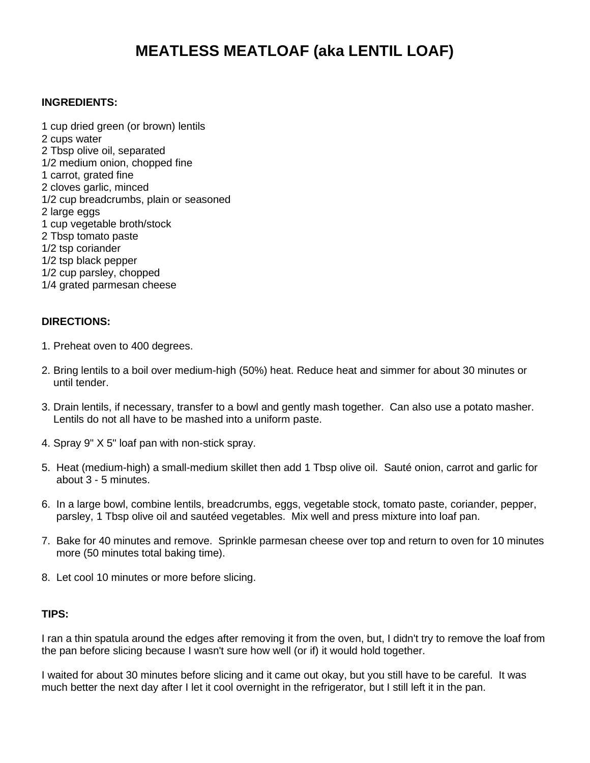# **MEATLESS MEATLOAF (aka LENTIL LOAF)**

### **INGREDIENTS:**

1 cup dried green (or brown) lentils 2 cups water 2 Tbsp olive oil, separated 1/2 medium onion, chopped fine 1 carrot, grated fine 2 cloves garlic, minced 1/2 cup breadcrumbs, plain or seasoned 2 large eggs 1 cup vegetable broth/stock 2 Tbsp tomato paste 1/2 tsp coriander 1/2 tsp black pepper 1/2 cup parsley, chopped 1/4 grated parmesan cheese

## **DIRECTIONS:**

- 1. Preheat oven to 400 degrees.
- 2. Bring lentils to a boil over medium-high (50%) heat. Reduce heat and simmer for about 30 minutes or until tender.
- 3. Drain lentils, if necessary, transfer to a bowl and gently mash together. Can also use a potato masher. Lentils do not all have to be mashed into a uniform paste.
- 4. Spray 9" X 5" loaf pan with non-stick spray.
- 5. Heat (medium-high) a small-medium skillet then add 1 Tbsp olive oil. Sauté onion, carrot and garlic for about 3 - 5 minutes.
- 6. In a large bowl, combine lentils, breadcrumbs, eggs, vegetable stock, tomato paste, coriander, pepper, parsley, 1 Tbsp olive oil and sautéed vegetables. Mix well and press mixture into loaf pan.
- 7. Bake for 40 minutes and remove. Sprinkle parmesan cheese over top and return to oven for 10 minutes more (50 minutes total baking time).
- 8. Let cool 10 minutes or more before slicing.

#### **TIPS:**

I ran a thin spatula around the edges after removing it from the oven, but, I didn't try to remove the loaf from the pan before slicing because I wasn't sure how well (or if) it would hold together.

I waited for about 30 minutes before slicing and it came out okay, but you still have to be careful. It was much better the next day after I let it cool overnight in the refrigerator, but I still left it in the pan.